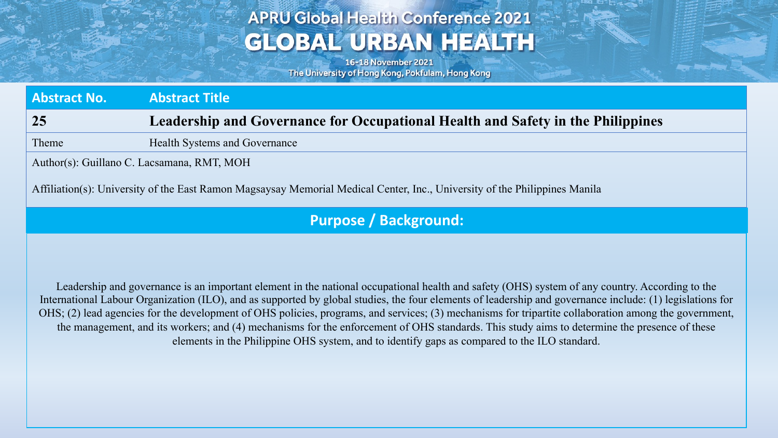## **APRU Global Health Conference 2021 GLOBAL URBAN HEALTH**

16-18 November 2021 The University of Hong Kong, Pokfulam, Hong Kong

**Abstract No. Abstract Title 25 Leadership and Governance for Occupational Health and Safety in the Philippines**

Theme Health Systems and Governance

Author(s): Guillano C. Lacsamana, RMT, MOH

Affiliation(s): University of the East Ramon Magsaysay Memorial Medical Center, Inc., University of the Philippines Manila

### **Purpose / Background:**

Leadership and governance is an important element in the national occupational health and safety (OHS) system of any country. According to the International Labour Organization (ILO), and as supported by global studies, the four elements of leadership and governance include: (1) legislations for OHS; (2) lead agencies for the development of OHS policies, programs, and services; (3) mechanisms for tripartite collaboration among the government, the management, and its workers; and (4) mechanisms for the enforcement of OHS standards. This study aims to determine the presence of these elements in the Philippine OHS system, and to identify gaps as compared to the ILO standard.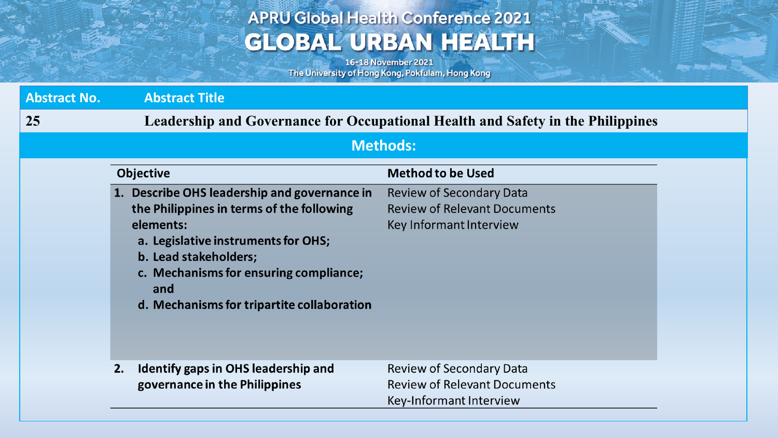# **APRU Global Health Conference 2021 GLOBAL URBAN HEALTH**

16-18 November 2021 The University of Hong Kong, Pokfulam, Hong Kong

and the state of

| <b>Abstract No.</b> | <b>Abstract Title</b>                                                                                                                                                                                                                                                 |                                                                                                   |
|---------------------|-----------------------------------------------------------------------------------------------------------------------------------------------------------------------------------------------------------------------------------------------------------------------|---------------------------------------------------------------------------------------------------|
| 25                  | Leadership and Governance for Occupational Health and Safety in the Philippines                                                                                                                                                                                       |                                                                                                   |
| <b>Methods:</b>     |                                                                                                                                                                                                                                                                       |                                                                                                   |
|                     | <b>Objective</b>                                                                                                                                                                                                                                                      | <b>Method to be Used</b>                                                                          |
|                     | 1. Describe OHS leadership and governance in<br>the Philippines in terms of the following<br>elements:<br>a. Legislative instruments for OHS;<br>b. Lead stakeholders;<br>c. Mechanisms for ensuring compliance;<br>and<br>d. Mechanisms for tripartite collaboration | <b>Review of Secondary Data</b><br><b>Review of Relevant Documents</b><br>Key Informant Interview |
|                     | Identify gaps in OHS leadership and<br>2.<br>governance in the Philippines                                                                                                                                                                                            | <b>Review of Secondary Data</b><br><b>Review of Relevant Documents</b><br>Key-Informant Interview |